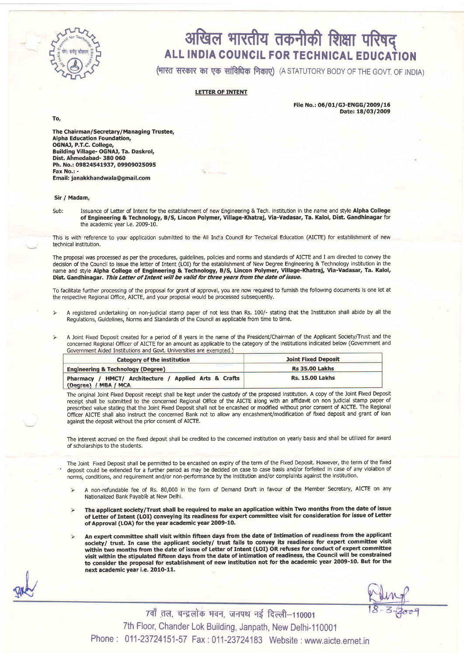

## अखिल भारतीय तकनीकी शिक्षा परिषद ALL INDIA COUNCIL FOR TECHNICAL EDUCATION

(भारत सरकार का एक सांविधिक निकाए) (A STATUTORY BODY OF THE GOVT. OF INDIA)

## LETTER OF INTENT

To,

File No.: 06/01/GJ-ENGG/2009/16 Date: 18/03/2009

The Chairman/Secretary/ Managing Trustee, Alpha Education Foundation, OGNAJ, P.T.C. College, Building Village- OGNAJ, Ta. Daskrol, Dist. Ahmedabad- 380 060 Ph, No.: 09824541937, O99O9O25O95 Fax No.: Email: janakkhandwala@gmail.com

## Sir / Madam,

Sub: Issuance of Letter of Intent for the establishment of new Engineering & Tech. institution in the name and style Alpha College of Engineering & Technology, B/S, Lincon Polymer, Village-Khatraj, Via-Vadasar, Ta. Kalol, Dist. Gandhinagar for the academic year i.e. 2009-10.

This is with reference to your application submitted to the All India Council for Technical Education (AICTE) for establishment of new technical institution.

The proposal was processed as per the procedures, guidelines, policies and norms and standards of AICTE and I am directed to convey the decision of the Council to issue the letter of Intent (LOI) for the establishment of New Degree Engineering & Technology institution in the name and style AIpha Gollege of Engineering & Technology, B/9 Lincon Polymer, village-Khatraj, Via-vadasar, Ta. Kalol, Dist. Gandhinagar. This Letter of Intent will be valid for three years from the date of issue.

To facilitate further processing of the proposal for grant of approval, you are now required to furnish the following documents is one lot at the respective Regional Office, AICTE, and your proposal would be processed subsequently.

- > <sup>A</sup>registered undertaking on non-judicial stamp paper of not less than Rs. 100/- stating that the Institution shall abide by all the Regulations, cuidelines, Norms and Standards of the Council as applicable from time to time.
- A Joint Fixed Deposit created for a period of 8 years in the name of the President/Chairman of the Applicant Society/Trust and the concerned Regional Officer of AICTE for an amount as applicable to the category of the institutions indicated below (Government and Government Aided Institutions and Govt. Universities are

| Category of the institution                           | <b>Joint Fixed Deposit</b> |
|-------------------------------------------------------|----------------------------|
| <b>Engineering &amp; Technology (Degree)</b>          | <b>Rs 35.00 Lakhs</b>      |
| Pharmacy / HMCT/ Architecture / Applied Arts & Crafts | <b>Rs. 15.00 Lakhs</b>     |
| (Degree) / MBA / MCA                                  |                            |

The original Joint Fixed Deposit receipt shall be kept under the custody of the proposed institution. A copy of the Joint Fixed Deposit receipt shall be submitted to the concerned Regional Office of the AICTE along with an affidavit on non judicial stamp paper of prescribed value stating that the Joint Fixed Deposit shall not be encashed or modified without prior consent of AICTE. The Regional Officer AICTE shall also instruct the concerned Bank not to allow any encashment/modification of fixed deposit and grant of loan against the deposit without the prior consent of AICTE.

The interest accrued on the fixed deposit shall be credited to the concerned institution on yearly basis and shall be utilized for award of scholarships to the students.

The Joint Fixed Deposit shall be permitted to be encashed on expiry of the term of the Fixed Deposit. However, the term of the fixed deposit could be extended for a further period as may be decided on case to case basis and/or forfeited in case of any violation of norms, conditions, and requirement and/or non-peformance by the institution and/or complaints against the institution.

- > A non-refundable fee of Rs. 80,000 in the form of Demand Draft in favour of the Member Secretary, AICTE on any Nationalized Bank Payable at New Delhi.
- $>$  The applicant society/Trust shall be required to make an application within Two months from the date of issue of Letter of Intent (LOI) conveying its readiness for expert committee visit for consideration for issue of Letter of Approval (LOA) for the year academic year 2009-10.
- > An expert committee shall visit within fifteen days from the date of Intimation of readiness from the applicant society/ trust. In case the applicant society/ trust fails to convey its readiness for expert committee visit within two months from the date of issue of Letter of Intent (LOI) OR refuses for conduct of expert committee visit within the stipulated fifteen days from the date of intimation of readiness, the Council will be constrained to consider the proposal for establishment of new institution not for the academic year 2009-10. But for the next academic year i.e. 2010-11.

7वाँ तल, चन्द्रलोक भवन, जनपथ नई दिल्ली-110001 7th Floor, Chander Lok Building, Janpath, New Delhi-110001 Phone : 011-23724151-57 Fax : 011-23724193 website : www.aicte.ernet.in